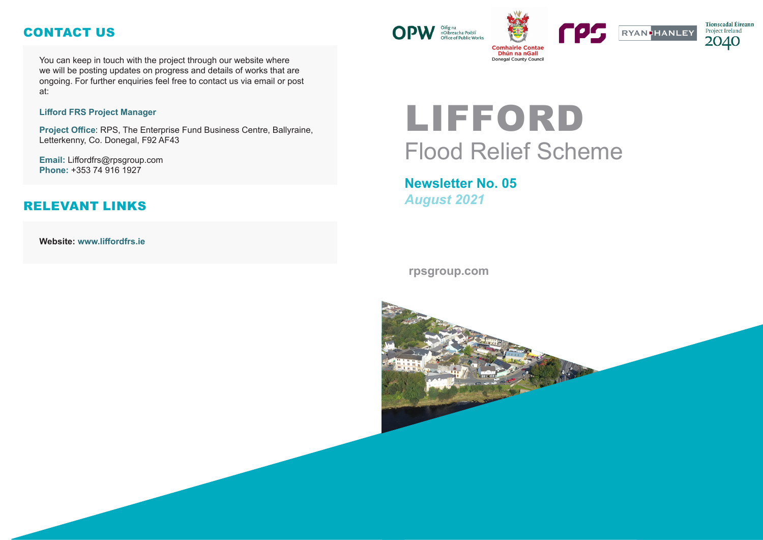# LIFFORD Flood Relief Scheme

# **Newsletter No. 06** *August 2021*

#### **rpsgroup.com**







You can keep in touch with the project through our website where we will be posting updates on progress and details of works that are ongoing. For further enquiries feel free to contact us via email or post at:

#### **Lifford FRS Project Manager**

**Project Office**: RPS, The Enterprise Fund Business Centre, Ballyraine, Letterkenny, Co. Donegal, F92 AF43

**Email:** Liffordfrs@rpsgroup.com **Phone:** +353 74 916 1927

**Website: www.liffordfrs.ie** 



## CONTACT US

## RELEVANT LINKS